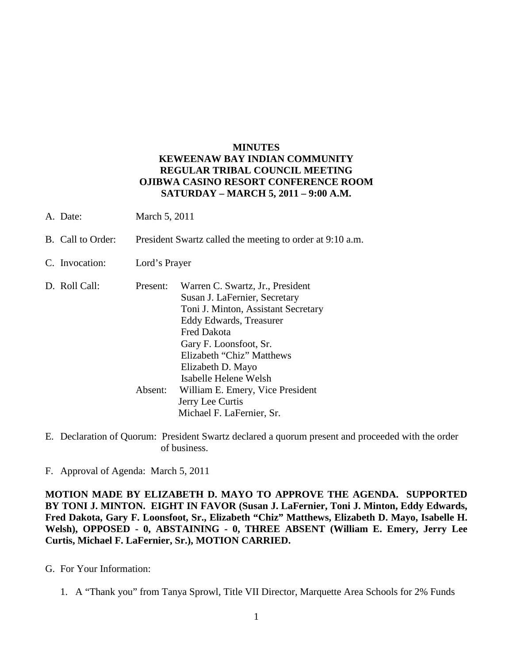## **MINUTES KEWEENAW BAY INDIAN COMMUNITY REGULAR TRIBAL COUNCIL MEETING OJIBWA CASINO RESORT CONFERENCE ROOM SATURDAY – MARCH 5, 2011 – 9:00 A.M.**

- A. Date: March 5, 2011
- B. Call to Order: President Swartz called the meeting to order at 9:10 a.m.
- C. Invocation: Lord's Prayer
- D. Roll Call: Present: Warren C. Swartz, Jr., President Susan J. LaFernier, Secretary Toni J. Minton, Assistant Secretary Eddy Edwards, Treasurer Fred Dakota Gary F. Loonsfoot, Sr. Elizabeth "Chiz" Matthews Elizabeth D. Mayo Isabelle Helene Welsh Absent: William E. Emery, Vice President Jerry Lee Curtis Michael F. LaFernier, Sr.
- E. Declaration of Quorum: President Swartz declared a quorum present and proceeded with the order of business.
- F. Approval of Agenda: March 5, 2011

**MOTION MADE BY ELIZABETH D. MAYO TO APPROVE THE AGENDA. SUPPORTED BY TONI J. MINTON. EIGHT IN FAVOR (Susan J. LaFernier, Toni J. Minton, Eddy Edwards, Fred Dakota, Gary F. Loonsfoot, Sr., Elizabeth "Chiz" Matthews, Elizabeth D. Mayo, Isabelle H. Welsh), OPPOSED - 0, ABSTAINING - 0, THREE ABSENT (William E. Emery, Jerry Lee Curtis, Michael F. LaFernier, Sr.), MOTION CARRIED.**

- G. For Your Information:
	- 1. A "Thank you" from Tanya Sprowl, Title VII Director, Marquette Area Schools for 2% Funds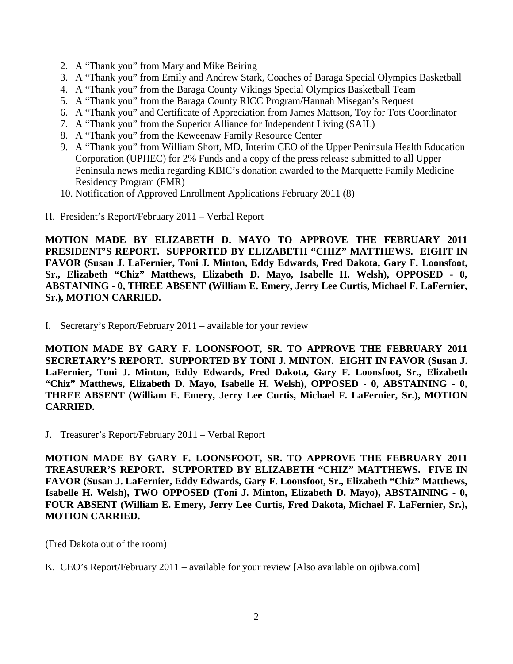- 2. A "Thank you" from Mary and Mike Beiring
- 3. A "Thank you" from Emily and Andrew Stark, Coaches of Baraga Special Olympics Basketball
- 4. A "Thank you" from the Baraga County Vikings Special Olympics Basketball Team
- 5. A "Thank you" from the Baraga County RICC Program/Hannah Misegan's Request
- 6. A "Thank you" and Certificate of Appreciation from James Mattson, Toy for Tots Coordinator
- 7. A "Thank you" from the Superior Alliance for Independent Living (SAIL)
- 8. A "Thank you" from the Keweenaw Family Resource Center
- 9. A "Thank you" from William Short, MD, Interim CEO of the Upper Peninsula Health Education Corporation (UPHEC) for 2% Funds and a copy of the press release submitted to all Upper Peninsula news media regarding KBIC's donation awarded to the Marquette Family Medicine Residency Program (FMR)
- 10. Notification of Approved Enrollment Applications February 2011 (8)

H. President's Report/February 2011 – Verbal Report

**MOTION MADE BY ELIZABETH D. MAYO TO APPROVE THE FEBRUARY 2011 PRESIDENT'S REPORT. SUPPORTED BY ELIZABETH "CHIZ" MATTHEWS. EIGHT IN FAVOR (Susan J. LaFernier, Toni J. Minton, Eddy Edwards, Fred Dakota, Gary F. Loonsfoot, Sr., Elizabeth "Chiz" Matthews, Elizabeth D. Mayo, Isabelle H. Welsh), OPPOSED - 0, ABSTAINING - 0, THREE ABSENT (William E. Emery, Jerry Lee Curtis, Michael F. LaFernier, Sr.), MOTION CARRIED.**

I. Secretary's Report/February 2011 – available for your review

**MOTION MADE BY GARY F. LOONSFOOT, SR. TO APPROVE THE FEBRUARY 2011 SECRETARY'S REPORT. SUPPORTED BY TONI J. MINTON. EIGHT IN FAVOR (Susan J. LaFernier, Toni J. Minton, Eddy Edwards, Fred Dakota, Gary F. Loonsfoot, Sr., Elizabeth "Chiz" Matthews, Elizabeth D. Mayo, Isabelle H. Welsh), OPPOSED - 0, ABSTAINING - 0, THREE ABSENT (William E. Emery, Jerry Lee Curtis, Michael F. LaFernier, Sr.), MOTION CARRIED.**

J. Treasurer's Report/February 2011 – Verbal Report

**MOTION MADE BY GARY F. LOONSFOOT, SR. TO APPROVE THE FEBRUARY 2011 TREASURER'S REPORT. SUPPORTED BY ELIZABETH "CHIZ" MATTHEWS. FIVE IN FAVOR (Susan J. LaFernier, Eddy Edwards, Gary F. Loonsfoot, Sr., Elizabeth "Chiz" Matthews, Isabelle H. Welsh), TWO OPPOSED (Toni J. Minton, Elizabeth D. Mayo), ABSTAINING - 0, FOUR ABSENT (William E. Emery, Jerry Lee Curtis, Fred Dakota, Michael F. LaFernier, Sr.), MOTION CARRIED.**

(Fred Dakota out of the room)

K. CEO's Report/February 2011 – available for your review [Also available on ojibwa.com]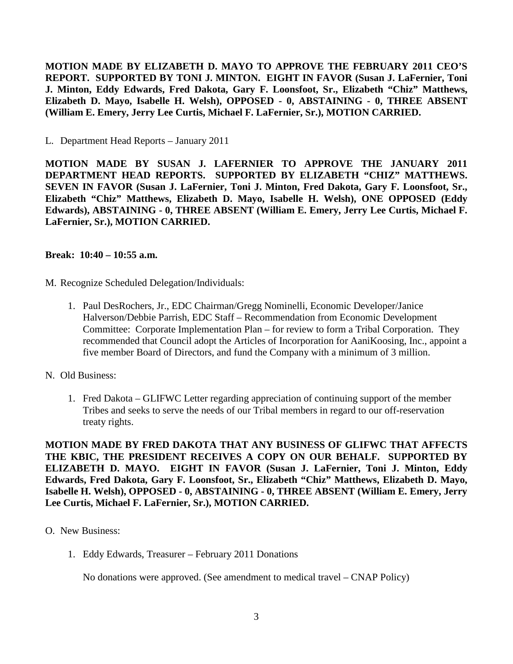**MOTION MADE BY ELIZABETH D. MAYO TO APPROVE THE FEBRUARY 2011 CEO'S REPORT. SUPPORTED BY TONI J. MINTON. EIGHT IN FAVOR (Susan J. LaFernier, Toni J. Minton, Eddy Edwards, Fred Dakota, Gary F. Loonsfoot, Sr., Elizabeth "Chiz" Matthews, Elizabeth D. Mayo, Isabelle H. Welsh), OPPOSED - 0, ABSTAINING - 0, THREE ABSENT (William E. Emery, Jerry Lee Curtis, Michael F. LaFernier, Sr.), MOTION CARRIED.**

## L. Department Head Reports – January 2011

**MOTION MADE BY SUSAN J. LAFERNIER TO APPROVE THE JANUARY 2011 DEPARTMENT HEAD REPORTS. SUPPORTED BY ELIZABETH "CHIZ" MATTHEWS. SEVEN IN FAVOR (Susan J. LaFernier, Toni J. Minton, Fred Dakota, Gary F. Loonsfoot, Sr., Elizabeth "Chiz" Matthews, Elizabeth D. Mayo, Isabelle H. Welsh), ONE OPPOSED (Eddy Edwards), ABSTAINING - 0, THREE ABSENT (William E. Emery, Jerry Lee Curtis, Michael F. LaFernier, Sr.), MOTION CARRIED.**

## **Break: 10:40 – 10:55 a.m.**

- M. Recognize Scheduled Delegation/Individuals:
	- 1. Paul DesRochers, Jr., EDC Chairman/Gregg Nominelli, Economic Developer/Janice Halverson/Debbie Parrish, EDC Staff – Recommendation from Economic Development Committee: Corporate Implementation Plan – for review to form a Tribal Corporation. They recommended that Council adopt the Articles of Incorporation for AaniKoosing, Inc., appoint a five member Board of Directors, and fund the Company with a minimum of 3 million.
- N. Old Business:
	- 1. Fred Dakota GLIFWC Letter regarding appreciation of continuing support of the member Tribes and seeks to serve the needs of our Tribal members in regard to our off-reservation treaty rights.

**MOTION MADE BY FRED DAKOTA THAT ANY BUSINESS OF GLIFWC THAT AFFECTS THE KBIC, THE PRESIDENT RECEIVES A COPY ON OUR BEHALF. SUPPORTED BY ELIZABETH D. MAYO. EIGHT IN FAVOR (Susan J. LaFernier, Toni J. Minton, Eddy Edwards, Fred Dakota, Gary F. Loonsfoot, Sr., Elizabeth "Chiz" Matthews, Elizabeth D. Mayo, Isabelle H. Welsh), OPPOSED - 0, ABSTAINING - 0, THREE ABSENT (William E. Emery, Jerry Lee Curtis, Michael F. LaFernier, Sr.), MOTION CARRIED.**

- O. New Business:
	- 1. Eddy Edwards, Treasurer February 2011 Donations

No donations were approved. (See amendment to medical travel – CNAP Policy)